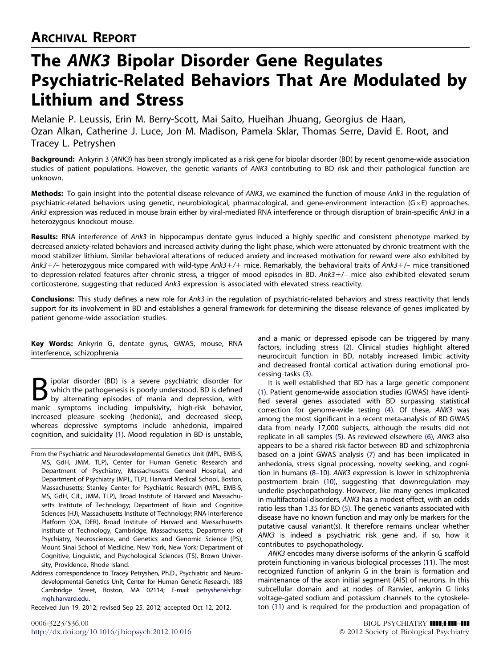# The ANK3 Bipolar Disorder Gene Regulates Psychiatric-Related Behaviors That Are Modulated by Lithium and Stress

Melanie P. Leussis, Erin M. Berry-Scott, Mai Saito, Hueihan Jhuang, Georgius de Haan, Ozan Alkan, Catherine J. Luce, Jon M. Madison, Pamela Sklar, Thomas Serre, David E. Root, and Tracey L. Petryshen

Background: Ankyrin 3 (ANK3) has been strongly implicated as a risk gene for bipolar disorder (BD) by recent genome-wide association studies of patient populations. However, the genetic variants of ANK3 contributing to BD risk and their pathological function are unknown.

Methods: To gain insight into the potential disease relevance of ANK3, we examined the function of mouse Ank3 in the regulation of psychiatric-related behaviors using genetic, neurobiological, pharmacological, and gene-environment interaction (G-E) approaches. Ank3 expression was reduced in mouse brain either by viral-mediated RNA interference or through disruption of brain-specific Ank3 in a heterozygous knockout mouse.

Results: RNA interference of Ank3 in hippocampus dentate gyrus induced a highly specific and consistent phenotype marked by decreased anxiety-related behaviors and increased activity during the light phase, which were attenuated by chronic treatment with the mood stabilizer lithium. Similar behavioral alterations of reduced anxiety and increased motivation for reward were also exhibited by Ank3+/– heterozygous mice compared with wild-type Ank3+/+ mice. Remarkably, the behavioral traits of Ank3+/– mice transitioned to depression-related features after chronic stress, a trigger of mood episodes in BD. Ank3-/– mice also exhibited elevated serum corticosterone, suggesting that reduced Ank3 expression is associated with elevated stress reactivity.

Conclusions: This study defines a new role for Ank3 in the regulation of psychiatric-related behaviors and stress reactivity that lends support for its involvement in BD and establishes a general framework for determining the disease relevance of genes implicated by patient genome-wide association studies.

Key Words: Ankyrin G, dentate gyrus, GWAS, mouse, RNA interference, schizophrenia

ipolar disorder (BD) is a severe psychiatric disorder for which the pathogenesis is poorly understood. BD is defined by alternating episodes of mania and depression, with manic symptoms including impulsivity, high-risk behavior, increased pleasure seeking (hedonia), and decreased sleep, whereas depressive symptoms include anhedonia, impaired cognition, and suicidality [\(1\)](#page-6-0). Mood regulation in BD is unstable,

From the Psychiatric and Neurodevelopmental Genetics Unit (MPL, EMB-S, MS, GdH, JMM, TLP), Center for Human Genetic Research and Department of Psychiatry, Massachusetts General Hospital, and Department of Psychiatry (MPL, TLP), Harvard Medical School, Boston, Massachusetts; Stanley Center for Psychiatric Research (MPL, EMB-S, MS, GdH, CJL, JMM, TLP), Broad Institute of Harvard and Massachusetts Institute of Technology; Department of Brain and Cognitive Sciences (HJ), Massachusetts Institute of Technology; RNA Interference Platform (OA, DER), Broad Institute of Harvard and Massachusetts Institute of Technology, Cambridge, Massachusetts; Departments of Psychiatry, Neuroscience, and Genetics and Genomic Science (PS), Mount Sinai School of Medicine, New York, New York; Department of Cognitive, Linguistic, and Psychological Sciences (TS), Brown University, Providence, Rhode Island.

Address correspondence to Tracey Petryshen, Ph.D., Psychiatric and Neurodevelopmental Genetics Unit, Center for Human Genetic Research, 185 Cambridge Street, Boston, MA 02114; E-mail: [petryshen@chgr.](mailto:petryshen@chgr.mgh.harvard.edu) [mgh.harvard.edu.](mailto:petryshen@chgr.mgh.harvard.edu)

Received Jun 19, 2012; revised Sep 25, 2012; accepted Oct 12, 2012.

and a manic or depressed episode can be triggered by many factors, including stress [\(2\)](#page-6-0). Clinical studies highlight altered neurocircuit function in BD, notably increased limbic activity and decreased frontal cortical activation during emotional processing tasks [\(3\).](#page-6-0)

It is well established that BD has a large genetic component [\(1\)](#page-6-0). Patient genome-wide association studies (GWAS) have identified several genes associated with BD surpassing statistical correction for genome-wide testing [\(4\).](#page-6-0) Of these, ANK3 was among the most significant in a recent meta-analysis of BD GWAS data from nearly 17,000 subjects, although the results did not replicate in all samples [\(5\).](#page-6-0) As reviewed elsewhere [\(6\),](#page-6-0) ANK3 also appears to be a shared risk factor between BD and schizophrenia based on a joint GWAS analysis [\(7\)](#page-6-0) and has been implicated in anhedonia, stress signal processing, novelty seeking, and cognition in humans [\(8–10\)](#page-6-0). ANK3 expression is lower in schizophrenia postmortem brain [\(10\),](#page-6-0) suggesting that downregulation may underlie psychopathology. However, like many genes implicated in multifactorial disorders, ANK3 has a modest effect, with an odds ratio less than 1.35 for BD [\(5\).](#page-6-0) The genetic variants associated with disease have no known function and may only be markers for the putative causal variant(s). It therefore remains unclear whether ANK3 is indeed a psychiatric risk gene and, if so, how it contributes to psychopathology.

ANK3 encodes many diverse isoforms of the ankyrin G scaffold protein functioning in various biological processes [\(11\).](#page-6-0) The most recognized function of ankyrin G in the brain is formation and maintenance of the axon initial segment (AIS) of neurons. In this subcellular domain and at nodes of Ranvier, ankyrin G links voltage-gated sodium and potassium channels to the cytoskeleton [\(11\)](#page-6-0) and is required for the production and propagation of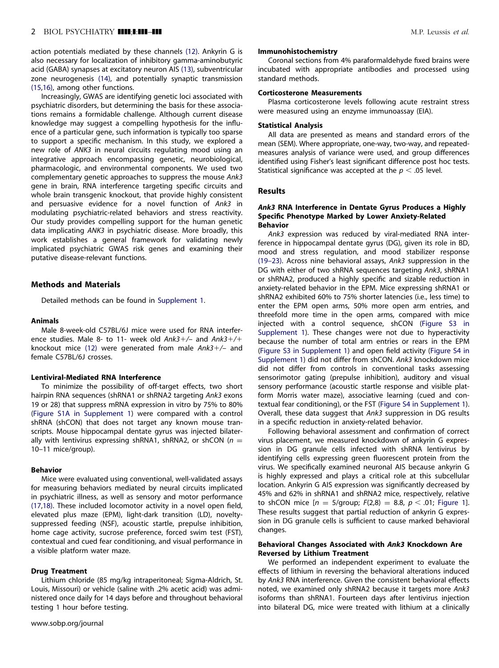# 2 BIOL PSYCHIATRY **IIII:1III-III Marting the Contract Contract Contract Contract Contract Contract Contract Contract Contract Contract Contract Contract Contract Contract Contract Contract Contract Contract Contract Cont**

action potentials mediated by these channels [\(12\).](#page-6-0) Ankyrin G is also necessary for localization of inhibitory gamma-aminobutyric acid (GABA) synapses at excitatory neuron AIS [\(13\),](#page-6-0) subventricular zone neurogenesis [\(14\)](#page-6-0), and potentially synaptic transmission [\(15,16\),](#page-7-0) among other functions.

Increasingly, GWAS are identifying genetic loci associated with psychiatric disorders, but determining the basis for these associations remains a formidable challenge. Although current disease knowledge may suggest a compelling hypothesis for the influence of a particular gene, such information is typically too sparse to support a specific mechanism. In this study, we explored a new role of ANK3 in neural circuits regulating mood using an integrative approach encompassing genetic, neurobiological, pharmacologic, and environmental components. We used two complementary genetic approaches to suppress the mouse Ank3 gene in brain, RNA interference targeting specific circuits and whole brain transgenic knockout, that provide highly consistent and persuasive evidence for a novel function of Ank3 in modulating psychiatric-related behaviors and stress reactivity. Our study provides compelling support for the human genetic data implicating ANK3 in psychiatric disease. More broadly, this work establishes a general framework for validating newly implicated psychiatric GWAS risk genes and examining their putative disease-relevant functions.

## Methods and Materials

Detailed methods can be found in Supplement 1.

# Animals

Male 8-week-old C57BL/6J mice were used for RNA interference studies. Male 8- to 11- week old Ank3+/- and Ank3+/+ knockout mice [\(12\)](#page-6-0) were generated from male Ank3+/- and female C57BL/6J crosses.

#### Lentiviral-Mediated RNA Interference

To minimize the possibility of off-target effects, two short hairpin RNA sequences (shRNA1 or shRNA2 targeting Ank3 exons 19 or 28) that suppress mRNA expression in vitro by 75% to 80% (Figure S1A in Supplement 1) were compared with a control shRNA (shCON) that does not target any known mouse transcripts. Mouse hippocampal dentate gyrus was injected bilaterally with lentivirus expressing shRNA1, shRNA2, or shCON ( $n =$ 10–11 mice/group).

## Behavior

Mice were evaluated using conventional, well-validated assays for measuring behaviors mediated by neural circuits implicated in psychiatric illness, as well as sensory and motor performance [\(17,18\).](#page-7-0) These included locomotor activity in a novel open field, elevated plus maze (EPM), light-dark transition (LD), noveltysuppressed feeding (NSF), acoustic startle, prepulse inhibition, home cage activity, sucrose preference, forced swim test (FST), contextual and cued fear conditioning, and visual performance in a visible platform water maze.

#### Drug Treatment

Lithium chloride (85 mg/kg intraperitoneal; Sigma-Aldrich, St. Louis, Missouri) or vehicle (saline with .2% acetic acid) was administered once daily for 14 days before and throughout behavioral testing 1 hour before testing.

#### Immunohistochemistry

Coronal sections from 4% paraformaldehyde fixed brains were incubated with appropriate antibodies and processed using standard methods.

# Corticosterone Measurements

Plasma corticosterone levels following acute restraint stress were measured using an enzyme immunoassay (EIA).

#### Statistical Analysis

All data are presented as means and standard errors of the mean (SEM). Where appropriate, one-way, two-way, and repeatedmeasures analysis of variance were used, and group differences identified using Fisher's least significant difference post hoc tests. Statistical significance was accepted at the  $p < .05$  level.

#### Results

## Ank3 RNA Interference in Dentate Gyrus Produces a Highly Specific Phenotype Marked by Lower Anxiety-Related Behavior

Ank3 expression was reduced by viral-mediated RNA interference in hippocampal dentate gyrus (DG), given its role in BD, mood and stress regulation, and mood stabilizer response [\(19–23\)](#page-7-0). Across nine behavioral assays, Ank3 suppression in the DG with either of two shRNA sequences targeting Ank3, shRNA1 or shRNA2, produced a highly specific and sizable reduction in anxiety-related behavior in the EPM. Mice expressing shRNA1 or shRNA2 exhibited 60% to 75% shorter latencies (i.e., less time) to enter the EPM open arms, 50% more open arm entries, and threefold more time in the open arms, compared with mice injected with a control sequence, shCON (Figure S3 in Supplement 1). These changes were not due to hyperactivity because the number of total arm entries or rears in the EPM (Figure S3 in Supplement 1) and open field activity (Figure S4 in Supplement 1) did not differ from shCON. Ank3 knockdown mice did not differ from controls in conventional tasks assessing sensorimotor gating (prepulse inhibition), auditory and visual sensory performance (acoustic startle response and visible platform Morris water maze), associative learning (cued and contextual fear conditioning), or the FST (Figure S4 in Supplement 1). Overall, these data suggest that Ank3 suppression in DG results in a specific reduction in anxiety-related behavior.

Following behavioral assessment and confirmation of correct virus placement, we measured knockdown of ankyrin G expression in DG granule cells infected with shRNA lentivirus by identifying cells expressing green fluorescent protein from the virus. We specifically examined neuronal AIS because ankyrin G is highly expressed and plays a critical role at this subcellular location. Ankyrin G AIS expression was significantly decreased by 45% and 62% in shRNA1 and shRNA2 mice, respectively, relative to shCON mice  $[n = 5/$ group;  $F(2,8) = 8.8, p < .01$ ; [Figure 1](#page-2-0)]. These results suggest that partial reduction of ankyrin G expression in DG granule cells is sufficient to cause marked behavioral changes.

# Behavioral Changes Associated with Ank3 Knockdown Are Reversed by Lithium Treatment

We performed an independent experiment to evaluate the effects of lithium in reversing the behavioral alterations induced by Ank3 RNA interference. Given the consistent behavioral effects noted, we examined only shRNA2 because it targets more Ank3 isoforms than shRNA1. Fourteen days after lentivirus injection into bilateral DG, mice were treated with lithium at a clinically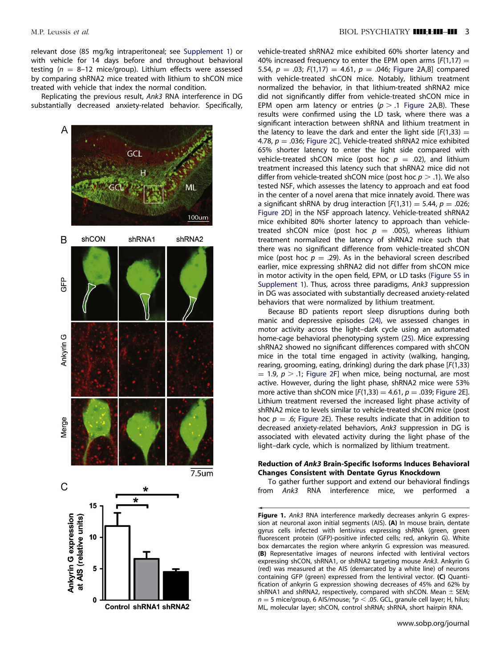<span id="page-2-0"></span>relevant dose (85 mg/kg intraperitoneal; see Supplement 1) or with vehicle for 14 days before and throughout behavioral testing ( $n = 8-12$  mice/group). Lithium effects were assessed by comparing shRNA2 mice treated with lithium to shCON mice treated with vehicle that index the normal condition.

Replicating the previous result, Ank3 RNA interference in DG substantially decreased anxiety-related behavior. Specifically,



vehicle-treated shRNA2 mice exhibited 60% shorter latency and 40% increased frequency to enter the EPM open arms  $[F(1,17) =$ 5.54,  $p = .03$ ;  $F(1,17) = 4.61$ ,  $p = .046$ ; [Figure 2A](#page-3-0),B] compared with vehicle-treated shCON mice. Notably, lithium treatment normalized the behavior, in that lithium-treated shRNA2 mice did not significantly differ from vehicle-treated shCON mice in EPM open arm latency or entries ( $p > .1$  [Figure 2](#page-3-0)A,B). These results were confirmed using the LD task, where there was a significant interaction between shRNA and lithium treatment in the latency to leave the dark and enter the light side  $[F(1,33) =$ 4.78,  $p = 0.036$ ; [Figure 2C](#page-3-0)]. Vehicle-treated shRNA2 mice exhibited 65% shorter latency to enter the light side compared with vehicle-treated shCON mice (post hoc  $p = .02$ ), and lithium treatment increased this latency such that shRNA2 mice did not differ from vehicle-treated shCON mice (post hoc  $p > 0.1$ ). We also tested NSF, which assesses the latency to approach and eat food in the center of a novel arena that mice innately avoid. There was a significant shRNA by drug interaction  $[F(1,31) = 5.44, p = .026;$ [Figure 2](#page-3-0)D] in the NSF approach latency. Vehicle-treated shRNA2 mice exhibited 80% shorter latency to approach than vehicletreated shCON mice (post hoc  $p = .005$ ), whereas lithium treatment normalized the latency of shRNA2 mice such that there was no significant difference from vehicle-treated shCON mice (post hoc  $p = .29$ ). As in the behavioral screen described earlier, mice expressing shRNA2 did not differ from shCON mice in motor activity in the open field, EPM, or LD tasks (Figure S5 in Supplement 1). Thus, across three paradigms, Ank3 suppression in DG was associated with substantially decreased anxiety-related behaviors that were normalized by lithium treatment.

Because BD patients report sleep disruptions during both manic and depressive episodes [\(24\),](#page-7-0) we assessed changes in motor activity across the light–dark cycle using an automated home-cage behavioral phenotyping system [\(25\).](#page-7-0) Mice expressing shRNA2 showed no significant differences compared with shCON mice in the total time engaged in activity (walking, hanging, rearing, grooming, eating, drinking) during the dark phase [F(1,33)  $=$  1.9,  $p > 0.1$ ; [Figure 2](#page-3-0)F] when mice, being nocturnal, are most active. However, during the light phase, shRNA2 mice were 53% more active than shCON mice  $[F(1,33) = 4.61, p = .039;$  [Figure 2E](#page-3-0)]. Lithium treatment reversed the increased light phase activity of shRNA2 mice to levels similar to vehicle-treated shCON mice (post hoc  $p = .6$ ; [Figure 2](#page-3-0)E). These results indicate that in addition to decreased anxiety-related behaviors, Ank3 suppression in DG is associated with elevated activity during the light phase of the light–dark cycle, which is normalized by lithium treatment.

# Reduction of Ank3 Brain-Specific Isoforms Induces Behavioral Changes Consistent with Dentate Gyrus Knockdown

To gather further support and extend our behavioral findings from Ank3 RNA interference mice, we performed a

Figure 1. Ank3 RNA interference markedly decreases ankyrin G expression at neuronal axon initial segments (AIS). (A) In mouse brain, dentate gyrus cells infected with lentivirus expressing shRNA (green, green fluorescent protein (GFP)-positive infected cells; red, ankyrin G). White box demarcates the region where ankyrin G expression was measured. (B) Representative images of neurons infected with lentiviral vectors expressing shCON, shRNA1, or shRNA2 targeting mouse Ank3. Ankyrin G (red) was measured at the AIS (demarcated by a white line) of neurons containing GFP (green) expressed from the lentiviral vector. (C) Quantification of ankyrin G expression showing decreases of 45% and 62% by shRNA1 and shRNA2, respectively, compared with shCON. Mean  $\pm$  SEM;  $n = 5$  mice/group, 6 AIS/mouse;  $*p < .05$ . GCL, granule cell layer; H, hilus; ML, molecular layer; shCON, control shRNA; shRNA, short hairpin RNA.

www.sobp.org/journal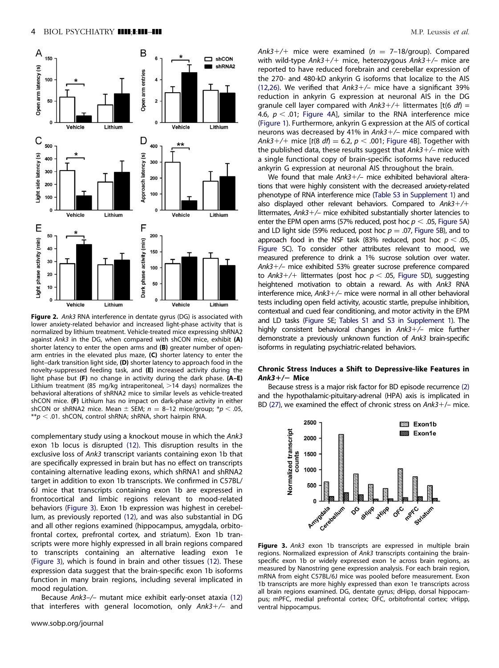<span id="page-3-0"></span>

Figure 2. Ank3 RNA interference in dentate gyrus (DG) is associated with lower anxiety-related behavior and increased light-phase activity that is normalized by lithium treatment. Vehicle-treated mice expressing shRNA2 against Ank3 in the DG, when compared with shCON mice, exhibit  $(A)$ shorter latency to enter the open arms and  $(B)$  greater number of openarm entries in the elevated plus maze, (C) shorter latency to enter the light–dark transition light side, (D) shorter latency to approach food in the novelty-suppressed feeding task, and (E) increased activity during the light phase but  $(F)$  no change in activity during the dark phase.  $(A-E)$ Lithium treatment (85 mg/kg intraperitoneal,  $>$ 14 days) normalizes the behavioral alterations of shRNA2 mice to similar levels as vehicle-treated shCON mice. (F) Lithium has no impact on dark-phase activity in either shCON or shRNA2 mice. Mean  $\pm$  SEM;  $n = 8$ –12 mice/group; \* $p < .05$ ,  $*p < .01$ . shCON, control shRNA; shRNA, short hairpin RNA.

complementary study using a knockout mouse in which the Ank3 exon 1b locus is disrupted [\(12\).](#page-6-0) This disruption results in the exclusive loss of Ank3 transcript variants containing exon 1b that are specifically expressed in brain but has no effect on transcripts containing alternative leading exons, which shRNA1 and shRNA2 target in addition to exon 1b transcripts. We confirmed in C57BL/ 6J mice that transcripts containing exon 1b are expressed in frontocortical and limbic regions relevant to mood-related behaviors (Figure 3). Exon 1b expression was highest in cerebellum, as previously reported [\(12\),](#page-6-0) and was also substantial in DG and all other regions examined (hippocampus, amygdala, orbitofrontal cortex, prefrontal cortex, and striatum). Exon 1b transcripts were more highly expressed in all brain regions compared to transcripts containing an alternative leading exon 1e (Figure 3), which is found in brain and other tissues [\(12\)](#page-6-0). These expression data suggest that the brain-specific exon 1b isoforms function in many brain regions, including several implicated in mood regulation.

Because Ank3–/– mutant mice exhibit early-onset ataxia [\(12\)](#page-6-0) that interferes with general locomotion, only Ank3+/- and

 $Ank3+/+$  mice were examined ( $n = 7-18$ /group). Compared with wild-type Ank3+/+ mice, heterozygous Ank3+/- mice are reported to have reduced forebrain and cerebellar expression of the 270- and 480-kD ankyrin G isoforms that localize to the AIS  $(12,26)$  $(12,26)$ . We verified that  $Ank3+/-$  mice have a significant 39% reduction in ankyrin G expression at neuronal AIS in the DG granule cell layer compared with  $Ank3+/+$  littermates [t(6  $df$ ) = 4.6,  $p < .01$ ; [Figure 4](#page-4-0)A], similar to the RNA interference mice [\(Figure 1\)](#page-2-0). Furthermore, ankyrin G expression at the AIS of cortical neurons was decreased by 41% in  $Ank3+/-$  mice compared with Ank3+/+ mice [t(8 df)  $=$  6.2,  $p <$  .001; [Figure 4B](#page-4-0)]. Together with the published data, these results suggest that Ank3+/- mice with a single functional copy of brain-specific isoforms have reduced ankyrin G expression at neuronal AIS throughout the brain.

We found that male Ank3+/- mice exhibited behavioral alterations that were highly consistent with the decreased anxiety-related phenotype of RNA interference mice (Table S3 in Supplement 1) and also displayed other relevant behaviors. Compared to  $Ank3+/+$ littermates, Ank3+/- mice exhibited substantially shorter latencies to enter the EPM open arms (57% reduced, post hoc  $p < .05$ , [Figure 5A](#page-4-0)) and LD light side (59% reduced, post hoc  $p = .07$ , [Figure 5](#page-4-0)B), and to approach food in the NSF task (83% reduced, post hoc  $p < .05$ , [Figure 5C](#page-4-0)). To consider other attributes relevant to mood, we measured preference to drink a 1% sucrose solution over water. Ank3-/– mice exhibited 53% greater sucrose preference compared to Ank3+/+ littermates (post hoc  $p < .05$ , [Figure 5](#page-4-0)D), suggesting heightened motivation to obtain a reward. As with Ank3 RNA interference mice, Ank3-/– mice were normal in all other behavioral tests including open field activity, acoustic startle, prepulse inhibition, contextual and cued fear conditioning, and motor activity in the EPM and LD tasks [\(Figure 5](#page-4-0)E; Tables S1 and S3 in Supplement 1). The highly consistent behavioral changes in Ank3+/- mice further demonstrate a previously unknown function of Ank3 brain-specific isoforms in regulating psychiatric-related behaviors.

## Chronic Stress Induces a Shift to Depressive-like Features in  $Ank3+/-$  Mice

Because stress is a major risk factor for BD episode recurrence [\(2\)](#page-6-0) and the hypothalamic-pituitary-adrenal (HPA) axis is implicated in BD [\(27\)](#page-7-0), we examined the effect of chronic stress on Ank3+/- mice.



Figure 3. Ank3 exon 1b transcripts are expressed in multiple brain regions. Normalized expression of Ank3 transcripts containing the brainspecific exon 1b or widely expressed exon 1e across brain regions, as measured by Nanostring gene expression analysis. For each brain region, mRNA from eight C57BL/6J mice was pooled before measurement. Exon 1b transcripts are more highly expressed than exon 1e transcripts across all brain regions examined. DG, dentate gyrus; dHipp, dorsal hippocampus; mPFC, medial prefrontal cortex; OFC, orbitofrontal cortex; vHipp, ventral hippocampus.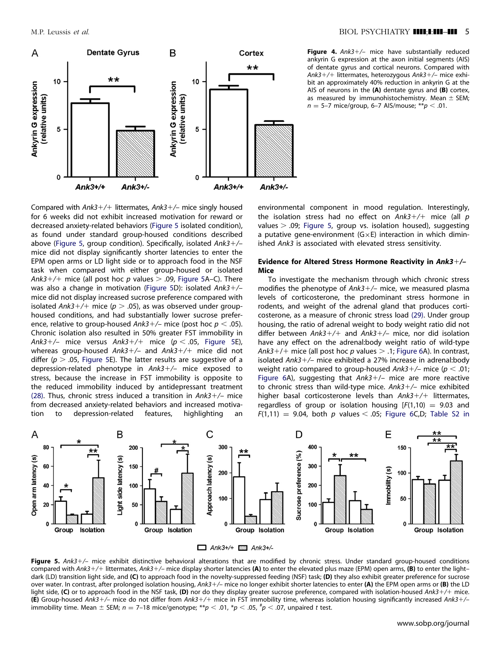<span id="page-4-0"></span>

Figure 4. Ank3+/- mice have substantially reduced ankyrin G expression at the axon initial segments (AIS) of dentate gyrus and cortical neurons. Compared with Ank3+/+ littermates, heterozygous Ank3+/– mice exhibit an approximately 40% reduction in ankyrin G at the AIS of neurons in the  $(A)$  dentate gyrus and  $(B)$  cortex, as measured by immunohistochemistry. Mean  $\pm$  SEM;  $n = 5-7$  mice/group, 6–7 AIS/mouse; \*\*  $p < .01$ .

Compared with Ank3+/+ littermates, Ank3+/- mice singly housed for 6 weeks did not exhibit increased motivation for reward or decreased anxiety-related behaviors (Figure 5 isolated condition), as found under standard group-housed conditions described above (Figure 5, group condition). Specifically, isolated Ank3+/mice did not display significantly shorter latencies to enter the EPM open arms or LD light side or to approach food in the NSF task when compared with either group-housed or isolated Ank3+/+ mice (all post hoc p values  $>$  .09, Figure 5A–C). There was also a change in motivation (Figure 5D): isolated Ank3+/mice did not display increased sucrose preference compared with isolated Ank3+/+ mice ( $p > .05$ ), as was observed under grouphoused conditions, and had substantially lower sucrose preference, relative to group-housed Ank3+/– mice (post hoc  $p < .05$ ). Chronic isolation also resulted in 50% greater FST immobility in Ank3+/– mice versus Ank3+/+ mice ( $p < .05$ , Figure 5E), whereas group-housed Ank3+/- and Ank3+/+ mice did not differ ( $p > .05$ , Figure 5E). The latter results are suggestive of a depression-related phenotype in Ank3-/– mice exposed to stress, because the increase in FST immobility is opposite to the reduced immobility induced by antidepressant treatment [\(28\).](#page-7-0) Thus, chronic stress induced a transition in  $Ank3+/-$  mice from decreased anxiety-related behaviors and increased motivation to depression-related features, highlighting an

environmental component in mood regulation. Interestingly, the isolation stress had no effect on  $Ank3+/+$  mice (all  $p$ values  $> .09$ ; Figure 5, group vs. isolation housed), suggesting a putative gene-environment  $(G \times E)$  interaction in which diminished Ank3 is associated with elevated stress sensitivity.

## Evidence for Altered Stress Hormone Reactivity in Ank3+/-Mice

To investigate the mechanism through which chronic stress modifies the phenotype of Ank3+/- mice, we measured plasma levels of corticosterone, the predominant stress hormone in rodents, and weight of the adrenal gland that produces corticosterone, as a measure of chronic stress load [\(29\).](#page-7-0) Under group housing, the ratio of adrenal weight to body weight ratio did not differ between Ank3+/+ and Ank3+/- mice, nor did isolation have any effect on the adrenal:body weight ratio of wild-type Ank3+/+ mice (all post hoc p values  $>$  .1; [Figure 6](#page-5-0)A). In contrast, isolated Ank3-/– mice exhibited a 27% increase in adrenal:body weight ratio compared to group-housed Ank3+/– mice ( $p < .01$ ; [Figure 6A](#page-5-0)), suggesting that  $Ank3+/-$  mice are more reactive to chronic stress than wild-type mice. Ank3+/- mice exhibited higher basal corticosterone levels than Ank3+/+ littermates, regardless of group or isolation housing  $[F(1,10) = 9.03$  and  $F(1,11) = 9.04$ , both p values < .05; [Figure 6](#page-5-0)C,D; Table S2 in



 $\Box$  Ank3+/+  $\Box$  Ank3+/-

Figure 5. Ank3+/- mice exhibit distinctive behavioral alterations that are modified by chronic stress. Under standard group-housed conditions compared with Ank3+/+ littermates, Ank3+/- mice display shorter latencies (A) to enter the elevated plus maze (EPM) open arms, (B) to enter the lightdark (LD) transition light side, and (C) to approach food in the novelty-suppressed feeding (NSF) task; (D) they also exhibit greater preference for sucrose over water. In contrast, after prolonged isolation housing, Ank3+/– mice no longer exhibit shorter latencies to enter (A) the EPM open arms or (B) the LD light side, (C) or to approach food in the NSF task, (D) nor do they display greater sucrose preference, compared with isolation-housed Ank3+/+ mice. (E) Group-housed Ank3+/- mice do not differ from Ank3+/+ mice in FST immobility time, whereas isolation housing significantly increased Ank3+/immobility time. Mean  $\pm$  SEM; n = 7-18 mice/genotype; \*\*p < .01, \*p < .05,  $^{\#}p$  < .07, unpaired t test.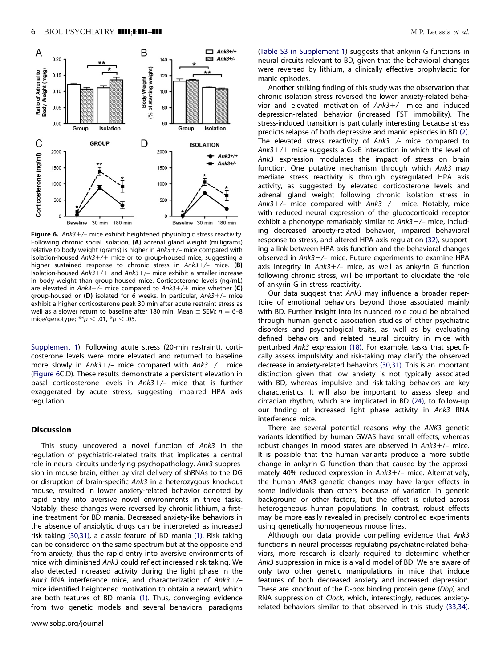<span id="page-5-0"></span>

Figure 6. Ank3+/- mice exhibit heightened physiologic stress reactivity. Following chronic social isolation, (A) adrenal gland weight (milligrams) relative to body weight (grams) is higher in Ank3+/- mice compared with isolation-housed Ank3+/+ mice or to group-housed mice, suggesting a higher sustained response to chronic stress in Ank3+/- mice. (B) Isolation-housed Ank3+/+ and Ank3+/- mice exhibit a smaller increase in body weight than group-housed mice. Corticosterone levels (ng/mL) are elevated in Ank3+/- mice compared to Ank3+/+ mice whether (C) group-housed or (D) isolated for 6 weeks. In particular, Ank3+/- mice exhibit a higher corticosterone peak 30 min after acute restraint stress as well as a slower return to baseline after 180 min. Mean  $\pm$  SEM;  $n = 6-8$ mice/genotype; \*\*  $p < .01$ , \*  $p < .05$ .

Supplement 1). Following acute stress (20-min restraint), corticosterone levels were more elevated and returned to baseline more slowly in Ank3+/- mice compared with Ank3+/+ mice (Figure 6C,D). These results demonstrate a persistent elevation in basal corticosterone levels in Ank3+/- mice that is further exaggerated by acute stress, suggesting impaired HPA axis regulation.

## **Discussion**

This study uncovered a novel function of Ank3 in the regulation of psychiatric-related traits that implicates a central role in neural circuits underlying psychopathology. Ank3 suppression in mouse brain, either by viral delivery of shRNAs to the DG or disruption of brain-specific Ank3 in a heterozygous knockout mouse, resulted in lower anxiety-related behavior denoted by rapid entry into aversive novel environments in three tasks. Notably, these changes were reversed by chronic lithium, a firstline treatment for BD mania. Decreased anxiety-like behaviors in the absence of anxiolytic drugs can be interpreted as increased risk taking [\(30,31\)](#page-7-0), a classic feature of BD mania [\(1\)](#page-6-0). Risk taking can be considered on the same spectrum but at the opposite end from anxiety, thus the rapid entry into aversive environments of mice with diminished Ank3 could reflect increased risk taking. We also detected increased activity during the light phase in the Ank3 RNA interference mice, and characterization of Ank3+/mice identified heightened motivation to obtain a reward, which are both features of BD mania [\(1\)](#page-6-0). Thus, converging evidence from two genetic models and several behavioral paradigms

(Table S3 in Supplement 1) suggests that ankyrin G functions in neural circuits relevant to BD, given that the behavioral changes were reversed by lithium, a clinically effective prophylactic for manic episodes.

Another striking finding of this study was the observation that chronic isolation stress reversed the lower anxiety-related behavior and elevated motivation of Ank3+/- mice and induced depression-related behavior (increased FST immobility). The stress-induced transition is particularly interesting because stress predicts relapse of both depressive and manic episodes in BD [\(2\).](#page-6-0) The elevated stress reactivity of Ank3+/- mice compared to Ank3+/+ mice suggests a G $\times$ E interaction in which the level of Ank3 expression modulates the impact of stress on brain function. One putative mechanism through which Ank3 may mediate stress reactivity is through dysregulated HPA axis activity, as suggested by elevated corticosterone levels and adrenal gland weight following chronic isolation stress in Ank3+/- mice compared with Ank3+/+ mice. Notably, mice with reduced neural expression of the glucocorticoid receptor exhibit a phenotype remarkably similar to Ank3+/- mice, including decreased anxiety-related behavior, impaired behavioral response to stress, and altered HPA axis regulation [\(32\)](#page-7-0), supporting a link between HPA axis function and the behavioral changes observed in Ank3+/- mice. Future experiments to examine HPA axis integrity in Ank3+/- mice, as well as ankyrin G function following chronic stress, will be important to elucidate the role of ankyrin G in stress reactivity.

Our data suggest that Ank3 may influence a broader repertoire of emotional behaviors beyond those associated mainly with BD. Further insight into its nuanced role could be obtained through human genetic association studies of other psychiatric disorders and psychological traits, as well as by evaluating defined behaviors and related neural circuitry in mice with perturbed Ank3 expression [\(18\)](#page-7-0). For example, tasks that specifically assess impulsivity and risk-taking may clarify the observed decrease in anxiety-related behaviors [\(30,31\).](#page-7-0) This is an important distinction given that low anxiety is not typically associated with BD, whereas impulsive and risk-taking behaviors are key characteristics. It will also be important to assess sleep and circadian rhythm, which are implicated in BD [\(24\)](#page-7-0), to follow-up our finding of increased light phase activity in Ank3 RNA interference mice.

There are several potential reasons why the ANK3 genetic variants identified by human GWAS have small effects, whereas robust changes in mood states are observed in  $Ank3+/-$  mice. It is possible that the human variants produce a more subtle change in ankyrin G function than that caused by the approximately 40% reduced expression in Ank3+/- mice. Alternatively, the human ANK3 genetic changes may have larger effects in some individuals than others because of variation in genetic background or other factors, but the effect is diluted across heterogeneous human populations. In contrast, robust effects may be more easily revealed in precisely controlled experiments using genetically homogeneous mouse lines.

Although our data provide compelling evidence that Ank3 functions in neural processes regulating psychiatric-related behaviors, more research is clearly required to determine whether Ank3 suppression in mice is a valid model of BD. We are aware of only two other genetic manipulations in mice that induce features of both decreased anxiety and increased depression. These are knockout of the D-box binding protein gene (Dbp) and RNA suppression of Clock, which, interestingly, reduces anxietyrelated behaviors similar to that observed in this study [\(33](#page-7-0),[34\).](#page-7-0)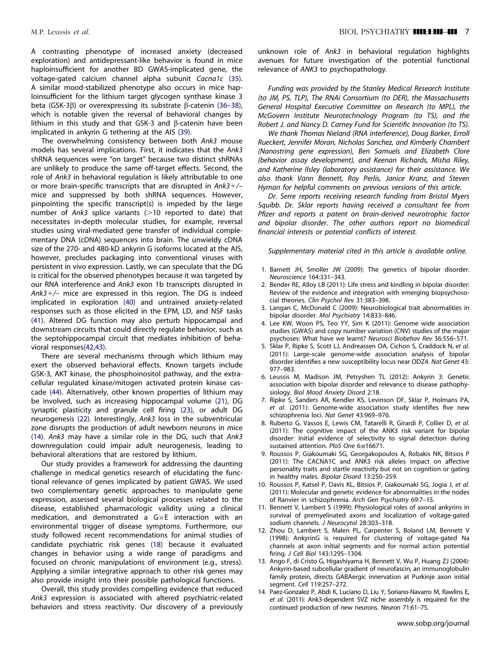<span id="page-6-0"></span>A contrasting phenotype of increased anxiety (decreased exploration) and antidepressant-like behavior is found in mice haploinsufficient for another BD GWAS-implicated gene, the voltage-gated calcium channel alpha subunit Cacna1c [\(35\).](#page-7-0) A similar mood-stabilized phenotype also occurs in mice haploinsufficient for the lithium target glycogen synthase kinase 3 beta (GSK-3 $\beta$ ) or overexpressing its substrate  $\beta$ -catenin [\(36–38\),](#page-7-0) which is notable given the reversal of behavioral changes by lithium in this study and that GSK-3 and  $\beta$ -catenin have been implicated in ankyrin G tethering at the AIS [\(39\).](#page-7-0)

The overwhelming consistency between both Ank3 mouse models has several implications. First, it indicates that the Ank3 shRNA sequences were "on target" because two distinct shRNAs are unlikely to produce the same off-target effects. Second, the role of Ank3 in behavioral regulation is likely attributable to one or more brain-specific transcripts that are disrupted in Ank3+/mice and suppressed by both shRNA sequences. However, pinpointing the specific transcript(s) is impeded by the large number of Ank3 splice variants  $(>10$  reported to date) that necessitates in-depth molecular studies, for example, reversal studies using viral-mediated gene transfer of individual complementary DNA (cDNA) sequences into brain. The unwieldy cDNA size of the 270- and 480-kD ankyrin G isoforms located at the AIS, however, precludes packaging into conventional viruses with persistent in vivo expression. Lastly, we can speculate that the DG is critical for the observed phenotypes because it was targeted by our RNA interference and Ank3 exon 1b transcripts disrupted in Ank3+/- mice are expressed in this region. The DG is indeed implicated in exploration [\(40\)](#page-7-0) and untrained anxiety-related responses such as those elicited in the EPM, LD, and NSF tasks [\(41\).](#page-7-0) Altered DG function may also perturb hippocampal and downstream circuits that could directly regulate behavior, such as the septohippocampal circuit that mediates inhibition of behavioral responses[\(42,43\)](#page-7-0).

There are several mechanisms through which lithium may exert the observed behavioral effects. Known targets include GSK-3, AKT kinase, the phosphoinositol pathway, and the extracellular regulated kinase/mitogen activated protein kinase cascade [\(44\)](#page-7-0). Alternatively, other known properties of lithium may be involved, such as increasing hippocampal volume [\(21\),](#page-7-0) DG synaptic plasticity and granule cell firing [\(23\),](#page-7-0) or adult DG neurogenesis [\(22\)](#page-7-0). Interestingly, Ank3 loss in the subventricular zone disrupts the production of adult newborn neurons in mice (14). Ank3 may have a similar role in the DG, such that Ank3 downregulation could impair adult neurogenesis, leading to behavioral alterations that are restored by lithium.

Our study provides a framework for addressing the daunting challenge in medical genetics research of elucidating the functional relevance of genes implicated by patient GWAS. We used two complementary genetic approaches to manipulate gene expression, assessed several biological processes related to the disease, established pharmacologic validity using a clinical medication, and demonstrated a  $G\times E$  interaction with an environmental trigger of disease symptoms. Furthermore, our study followed recent recommendations for animal studies of candidate psychiatric risk genes [\(18\)](#page-7-0) because it evaluated changes in behavior using a wide range of paradigms and focused on chronic manipulations of environment (e.g., stress). Applying a similar integrative approach to other risk genes may also provide insight into their possible pathological functions.

Overall, this study provides compelling evidence that reduced Ank3 expression is associated with altered psychiatric-related behaviors and stress reactivity. Our discovery of a previously

unknown role of Ank3 in behavioral regulation highlights avenues for future investigation of the potential functional relevance of ANK3 to psychopathology.

Funding was provided by the Stanley Medical Research Institute (to JM, PS, TLP), The RNAi Consortium (to DER), the Massachusetts General Hospital Executive Committee on Research (to MPL), the McGovern Institute Neurotechnology Program (to TS), and the Robert J. and Nancy D. Carney Fund for Scientific Innovation (to TS).

We thank Thomas Nieland (RNA interference), Doug Barker, Erroll Rueckert, Jennifer Moran, Nicholas Sanchez, and Kimberly Chambert (Nanostring gene expression), Ben Samuels and Elizabeth Clore (behavior assay development), and Keenan Richards, Misha Riley, and Katherine Ilsley (laboratory assistance) for their assistance. We also thank Vann Bennett, Roy Perlis, Janice Kranz, and Steven Hyman for helpful comments on previous versions of this article.

Dr. Serre reports receiving research funding from Bristol Myers Squibb. Dr. Sklar reports having received a consultant fee from Pfizer and reports a patent on brain-derived neurotrophic factor and bipolar disorder. The other authors report no biomedical financial interests or potential conflicts of interest.

Supplementary material cited in this article is available online.

- 1. Barnett JH, Smoller JW (2009): The genetics of bipolar disorder. Neuroscience 164:331–343.
- 2. Bender RE, Alloy LB (2011): Life stress and kindling in bipolar disorder: Review of the evidence and integration with emerging biopsychosocial theories. Clin Psychol Rev 31:383–398.
- 3. Langan C, McDonald C (2009): Neurobiological trait abnormalities in bipolar disorder. Mol Psychiatry 14:833–846.
- 4. Lee KW, Woon PS, Teo YY, Sim K (2011): Genome wide association studies (GWAS) and copy number variation (CNV) studies of the major psychoses: What have we learnt? Neurosci Biobehav Rev 36:556–571.
- 5. Sklar P, Ripke S, Scott LJ, Andreassen OA, Cichon S, Craddock N, et al. (2011): Large-scale genome-wide association analysis of bipolar disorder identifies a new susceptibility locus near ODZ4. Nat Genet 43: 977–983.
- 6. Leussis M, Madison JM, Petryshen TL (2012): Ankyrin 3: Genetic association with bipolar disorder and relevance to disease pathophysiology. Biol Mood Anxiety Disord 2:18.
- 7. Ripke S, Sanders AR, Kendler KS, Levinson DF, Sklar P, Holmans PA, et al. (2011): Genome-wide association study identifies five new schizophrenia loci. Nat Genet 43:969–976.
- 8. Ruberto G, Vassos E, Lewis CM, Tatarelli R, Girardi P, Collier D, et al. (2011): The cognitive impact of the ANK3 risk variant for bipolar disorder: Initial evidence of selectivity to signal detection during sustained attention. PloS One 6:e16671.
- 9. Roussos P, Giakoumaki SG, Georgakopoulos A, Robakis NK, Bitsios P (2011): The CACNA1C and ANK3 risk alleles impact on affective personality traits and startle reactivity but not on cognition or gating in healthy males. Bipolar Disord 13:250–259.
- 10. Roussos P, Katsel P, Davis KL, Bitsios P, Giakoumaki SG, Jogia J, et al. (2011): Molecular and genetic evidence for abnormalities in the nodes of Ranvier in schizophrenia. Arch Gen Psychiatry 69:7–15.
- 11. Bennett V, Lambert S (1999): Physiological roles of axonal ankyrins in survival of premyelinated axons and localization of voltage-gated sodium channels. J Neurocytol 28:303–318.
- 12. Zhou D, Lambert S, Malen PL, Carpenter S, Boland LM, Bennett V (1998): AnkyrinG is required for clustering of voltage-gated Na channels at axon initial segments and for normal action potential firing. J Cell Biol 143:1295–1304.
- 13. Ango F, di Cristo G, Higashiyama H, Bennett V, Wu P, Huang ZJ (2004): Ankyrin-based subcellular gradient of neurofascin, an immunoglobulin family protein, directs GABAergic innervation at Purkinje axon initial segment. Cell 119:257–272.
- 14. Paez-Gonzalez P, Abdi K, Luciano D, Liu Y, Soriano-Navarro M, Rawlins E, et al. (2011): Ank3-dependent SVZ niche assembly is required for the continued production of new neurons. Neuron 71:61–75.